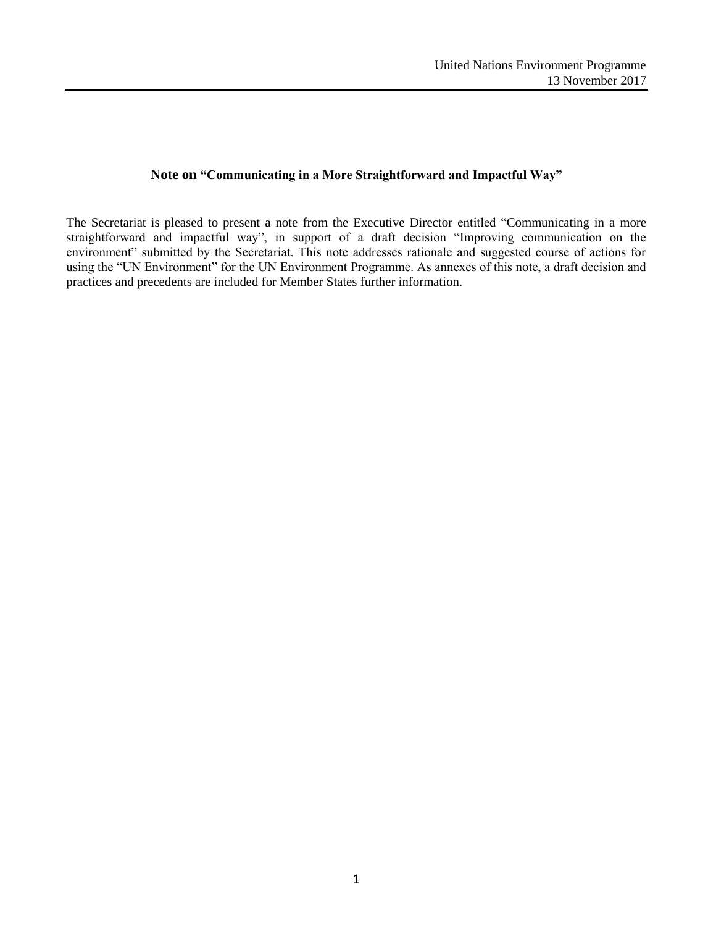# **Note on "Communicating in a More Straightforward and Impactful Way"**

The Secretariat is pleased to present a note from the Executive Director entitled "Communicating in a more straightforward and impactful way", in support of a draft decision "Improving communication on the environment" submitted by the Secretariat. This note addresses rationale and suggested course of actions for using the "UN Environment" for the UN Environment Programme. As annexes of this note, a draft decision and practices and precedents are included for Member States further information.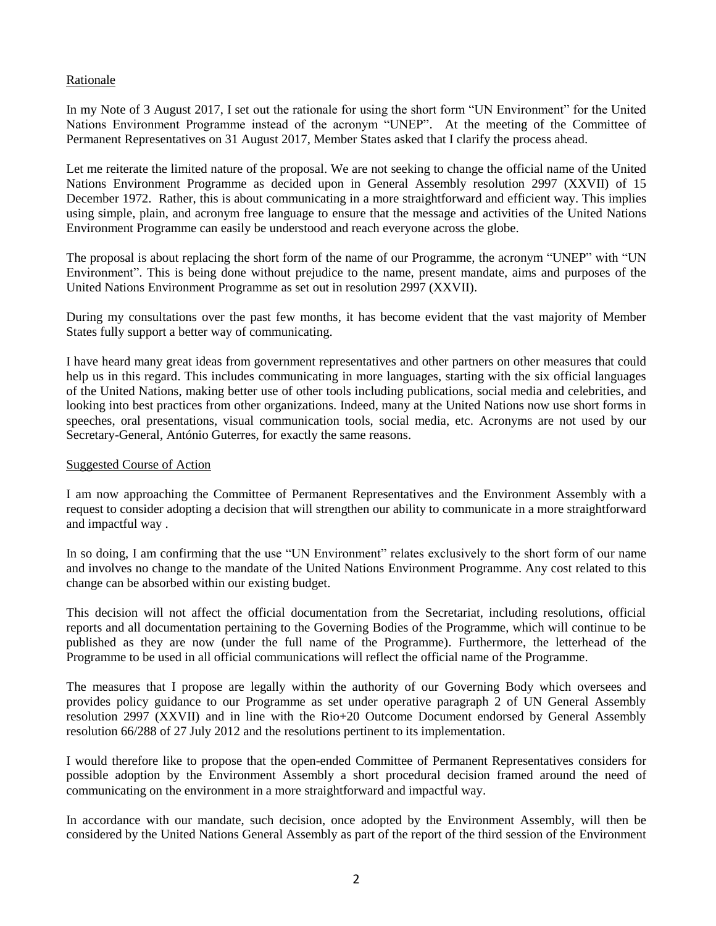## Rationale

In my Note of 3 August 2017, I set out the rationale for using the short form "UN Environment" for the United Nations Environment Programme instead of the acronym "UNEP". At the meeting of the Committee of Permanent Representatives on 31 August 2017, Member States asked that I clarify the process ahead.

Let me reiterate the limited nature of the proposal. We are not seeking to change the official name of the United Nations Environment Programme as decided upon in General Assembly resolution 2997 (XXVII) of 15 December 1972. Rather, this is about communicating in a more straightforward and efficient way. This implies using simple, plain, and acronym free language to ensure that the message and activities of the United Nations Environment Programme can easily be understood and reach everyone across the globe.

The proposal is about replacing the short form of the name of our Programme, the acronym "UNEP" with "UN Environment". This is being done without prejudice to the name, present mandate, aims and purposes of the United Nations Environment Programme as set out in resolution 2997 (XXVII).

During my consultations over the past few months, it has become evident that the vast majority of Member States fully support a better way of communicating.

I have heard many great ideas from government representatives and other partners on other measures that could help us in this regard. This includes communicating in more languages, starting with the six official languages of the United Nations, making better use of other tools including publications, social media and celebrities, and looking into best practices from other organizations. Indeed, many at the United Nations now use short forms in speeches, oral presentations, visual communication tools, social media, etc. Acronyms are not used by our Secretary-General, António Guterres, for exactly the same reasons.

#### Suggested Course of Action

I am now approaching the Committee of Permanent Representatives and the Environment Assembly with a request to consider adopting a decision that will strengthen our ability to communicate in a more straightforward and impactful way .

In so doing, I am confirming that the use "UN Environment" relates exclusively to the short form of our name and involves no change to the mandate of the United Nations Environment Programme. Any cost related to this change can be absorbed within our existing budget.

This decision will not affect the official documentation from the Secretariat, including resolutions, official reports and all documentation pertaining to the Governing Bodies of the Programme, which will continue to be published as they are now (under the full name of the Programme). Furthermore, the letterhead of the Programme to be used in all official communications will reflect the official name of the Programme.

The measures that I propose are legally within the authority of our Governing Body which oversees and provides policy guidance to our Programme as set under operative paragraph 2 of UN General Assembly resolution 2997 (XXVII) and in line with the Rio+20 Outcome Document endorsed by General Assembly resolution 66/288 of 27 July 2012 and the resolutions pertinent to its implementation.

I would therefore like to propose that the open-ended Committee of Permanent Representatives considers for possible adoption by the Environment Assembly a short procedural decision framed around the need of communicating on the environment in a more straightforward and impactful way.

In accordance with our mandate, such decision, once adopted by the Environment Assembly, will then be considered by the United Nations General Assembly as part of the report of the third session of the Environment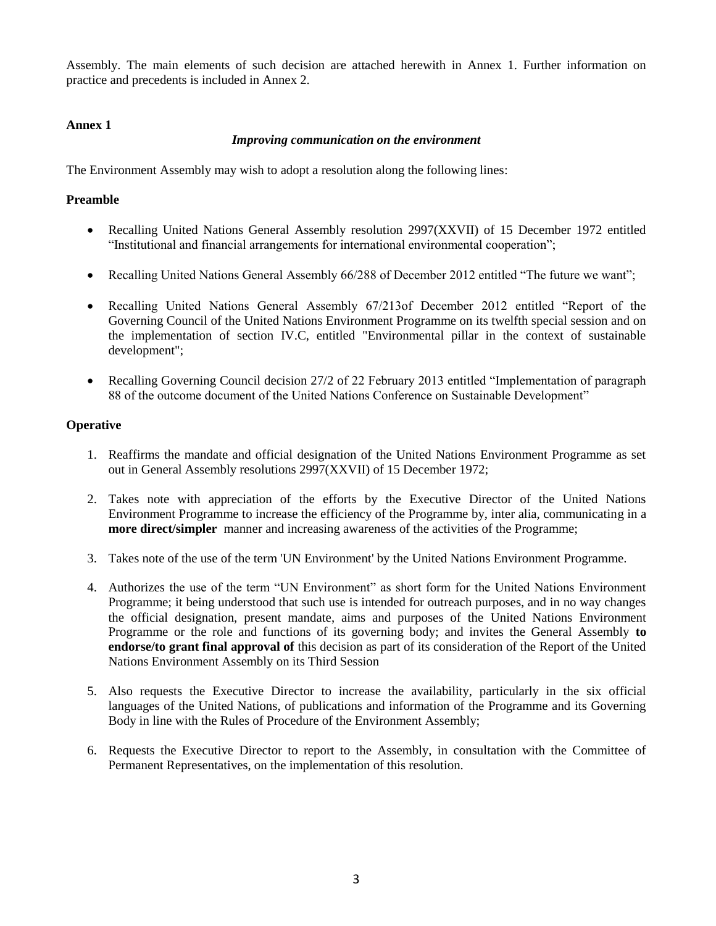Assembly. The main elements of such decision are attached herewith in Annex 1. Further information on practice and precedents is included in Annex 2.

## **Annex 1**

### *Improving communication on the environment*

The Environment Assembly may wish to adopt a resolution along the following lines:

## **Preamble**

- Recalling United Nations General Assembly resolution 2997(XXVII) of 15 December 1972 entitled "Institutional and financial arrangements for international environmental cooperation";
- Recalling United Nations General Assembly 66/288 of December 2012 entitled "The future we want";
- Recalling United Nations General Assembly 67/213of December 2012 entitled "Report of the Governing Council of the United Nations Environment Programme on its twelfth special session and on the implementation of section IV.C, entitled "Environmental pillar in the context of sustainable development";
- Recalling Governing Council decision 27/2 of 22 February 2013 entitled "Implementation of paragraph" 88 of the outcome document of the United Nations Conference on Sustainable Development"

## **Operative**

- 1. Reaffirms the mandate and official designation of the United Nations Environment Programme as set out in General Assembly resolutions 2997(XXVII) of 15 December 1972;
- 2. Takes note with appreciation of the efforts by the Executive Director of the United Nations Environment Programme to increase the efficiency of the Programme by, inter alia, communicating in a **more direct/simpler** manner and increasing awareness of the activities of the Programme;
- 3. Takes note of the use of the term 'UN Environment' by the United Nations Environment Programme.
- 4. Authorizes the use of the term "UN Environment" as short form for the United Nations Environment Programme; it being understood that such use is intended for outreach purposes, and in no way changes the official designation, present mandate, aims and purposes of the United Nations Environment Programme or the role and functions of its governing body; and invites the General Assembly **to endorse/to grant final approval of** this decision as part of its consideration of the Report of the United Nations Environment Assembly on its Third Session
- 5. Also requests the Executive Director to increase the availability, particularly in the six official languages of the United Nations, of publications and information of the Programme and its Governing Body in line with the Rules of Procedure of the Environment Assembly;
- 6. Requests the Executive Director to report to the Assembly, in consultation with the Committee of Permanent Representatives, on the implementation of this resolution.